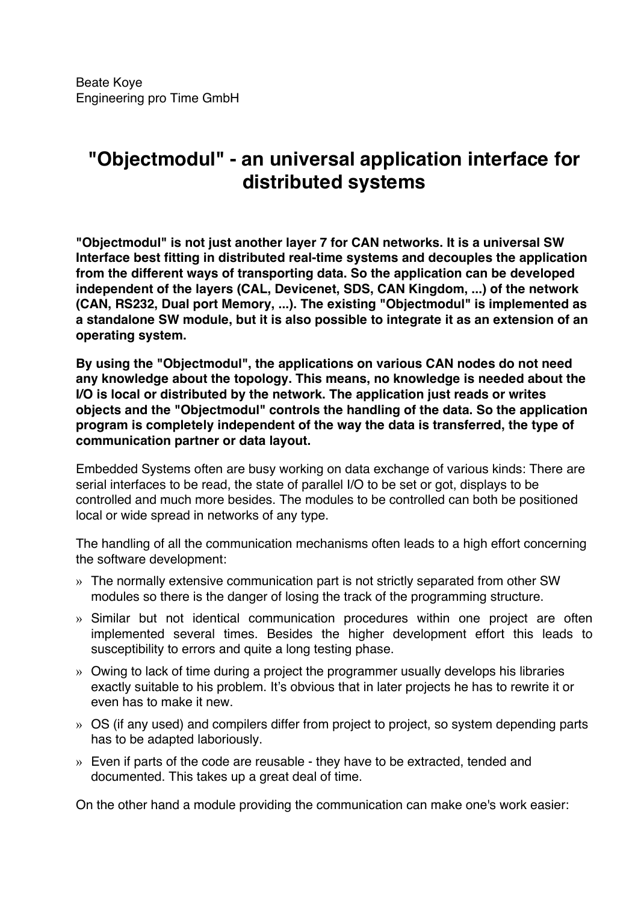# **"Objectmodul" - an universal application interface for distributed systems**

**"Objectmodul" is not just another layer 7 for CAN networks. It is a universal SW Interface best fitting in distributed real-time systems and decouples the application from the different ways of transporting data. So the application can be developed independent of the layers (CAL, Devicenet, SDS, CAN Kingdom, ...) of the network (CAN, RS232, Dual port Memory, ...). The existing "Objectmodul" is implemented as a standalone SW module, but it is also possible to integrate it as an extension of an operating system.**

**By using the "Objectmodul", the applications on various CAN nodes do not need any knowledge about the topology. This means, no knowledge is needed about the I/O is local or distributed by the network. The application just reads or writes objects and the "Objectmodul" controls the handling of the data. So the application program is completely independent of the way the data is transferred, the type of communication partner or data layout.**

Embedded Systems often are busy working on data exchange of various kinds: There are serial interfaces to be read, the state of parallel I/O to be set or got, displays to be controlled and much more besides. The modules to be controlled can both be positioned local or wide spread in networks of any type.

The handling of all the communication mechanisms often leads to a high effort concerning the software development:

- » The normally extensive communication part is not strictly separated from other SW modules so there is the danger of losing the track of the programming structure.
- » Similar but not identical communication procedures within one project are often implemented several times. Besides the higher development effort this leads to susceptibility to errors and quite a long testing phase.
- » Owing to lack of time during a project the programmer usually develops his libraries exactly suitable to his problem. It's obvious that in later projects he has to rewrite it or even has to make it new.
- » OS (if any used) and compilers differ from project to project, so system depending parts has to be adapted laboriously.
- » Even if parts of the code are reusable they have to be extracted, tended and documented. This takes up a great deal of time.

On the other hand a module providing the communication can make one's work easier: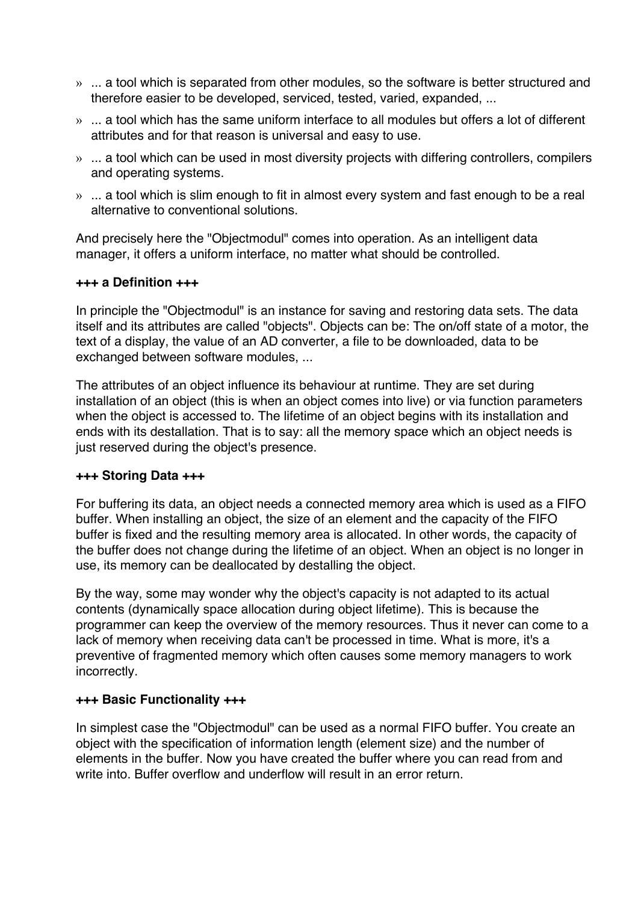- » ... a tool which is separated from other modules, so the software is better structured and therefore easier to be developed, serviced, tested, varied, expanded, ...
- » ... a tool which has the same uniform interface to all modules but offers a lot of different attributes and for that reason is universal and easy to use.
- » ... a tool which can be used in most diversity projects with differing controllers, compilers and operating systems.
- » ... a tool which is slim enough to fit in almost every system and fast enough to be a real alternative to conventional solutions.

And precisely here the "Objectmodul" comes into operation. As an intelligent data manager, it offers a uniform interface, no matter what should be controlled.

## **+++ a Definition +++**

In principle the "Objectmodul" is an instance for saving and restoring data sets. The data itself and its attributes are called "objects". Objects can be: The on/off state of a motor, the text of a display, the value of an AD converter, a file to be downloaded, data to be exchanged between software modules, ...

The attributes of an object influence its behaviour at runtime. They are set during installation of an object (this is when an object comes into live) or via function parameters when the object is accessed to. The lifetime of an object begins with its installation and ends with its destallation. That is to say: all the memory space which an object needs is just reserved during the object's presence.

## **+++ Storing Data +++**

For buffering its data, an object needs a connected memory area which is used as a FIFO buffer. When installing an object, the size of an element and the capacity of the FIFO buffer is fixed and the resulting memory area is allocated. In other words, the capacity of the buffer does not change during the lifetime of an object. When an object is no longer in use, its memory can be deallocated by destalling the object.

By the way, some may wonder why the object's capacity is not adapted to its actual contents (dynamically space allocation during object lifetime). This is because the programmer can keep the overview of the memory resources. Thus it never can come to a lack of memory when receiving data can't be processed in time. What is more, it's a preventive of fragmented memory which often causes some memory managers to work incorrectly.

## **+++ Basic Functionality +++**

In simplest case the "Objectmodul" can be used as a normal FIFO buffer. You create an object with the specification of information length (element size) and the number of elements in the buffer. Now you have created the buffer where you can read from and write into. Buffer overflow and underflow will result in an error return.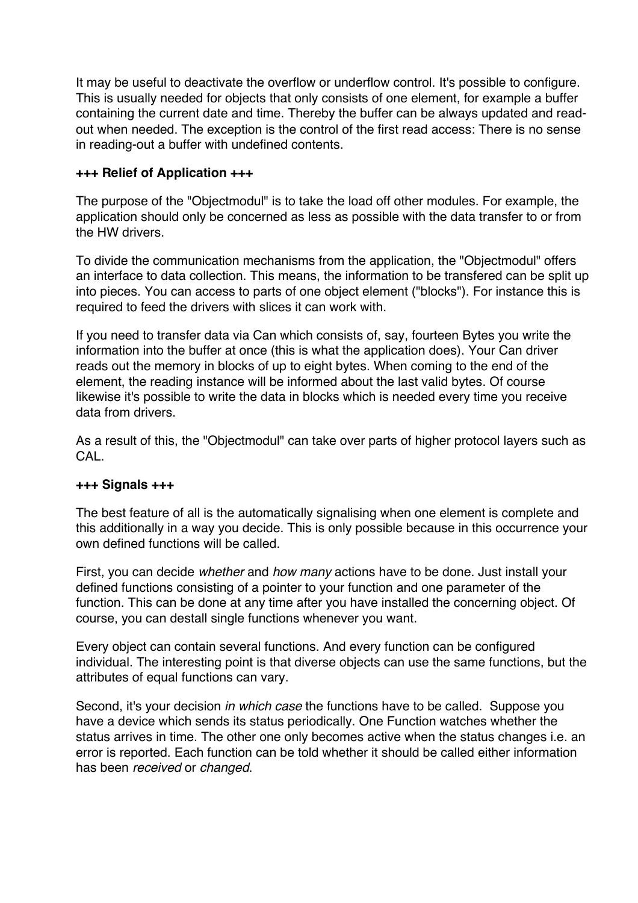It may be useful to deactivate the overflow or underflow control. It's possible to configure. This is usually needed for objects that only consists of one element, for example a buffer containing the current date and time. Thereby the buffer can be always updated and readout when needed. The exception is the control of the first read access: There is no sense in reading-out a buffer with undefined contents.

## **+++ Relief of Application +++**

The purpose of the "Objectmodul" is to take the load off other modules. For example, the application should only be concerned as less as possible with the data transfer to or from the HW drivers.

To divide the communication mechanisms from the application, the "Objectmodul" offers an interface to data collection. This means, the information to be transfered can be split up into pieces. You can access to parts of one object element ("blocks"). For instance this is required to feed the drivers with slices it can work with.

If you need to transfer data via Can which consists of, say, fourteen Bytes you write the information into the buffer at once (this is what the application does). Your Can driver reads out the memory in blocks of up to eight bytes. When coming to the end of the element, the reading instance will be informed about the last valid bytes. Of course likewise it's possible to write the data in blocks which is needed every time you receive data from drivers.

As a result of this, the "Objectmodul" can take over parts of higher protocol layers such as CAL.

## **+++ Signals +++**

The best feature of all is the automatically signalising when one element is complete and this additionally in a way you decide. This is only possible because in this occurrence your own defined functions will be called.

First, you can decide *whether* and *how many* actions have to be done. Just install your defined functions consisting of a pointer to your function and one parameter of the function. This can be done at any time after you have installed the concerning object. Of course, you can destall single functions whenever you want.

Every object can contain several functions. And every function can be configured individual. The interesting point is that diverse objects can use the same functions, but the attributes of equal functions can vary.

Second, it's your decision *in which case* the functions have to be called. Suppose you have a device which sends its status periodically. One Function watches whether the status arrives in time. The other one only becomes active when the status changes i.e. an error is reported. Each function can be told whether it should be called either information has been *received* or *changed*.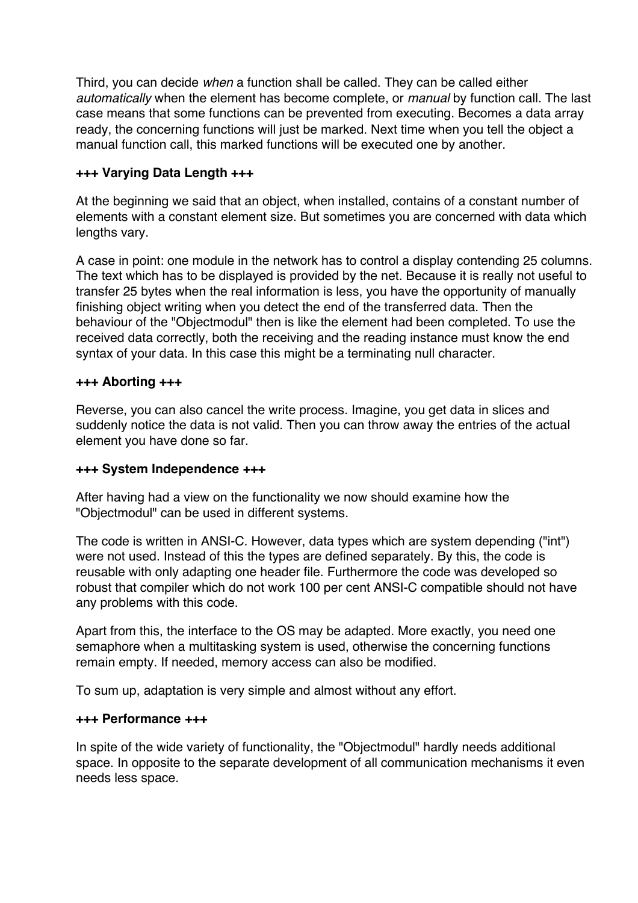Third, you can decide *when* a function shall be called. They can be called either *automatically* when the element has become complete, or *manual* by function call. The last case means that some functions can be prevented from executing. Becomes a data array ready, the concerning functions will just be marked. Next time when you tell the object a manual function call, this marked functions will be executed one by another.

## **+++ Varying Data Length +++**

At the beginning we said that an object, when installed, contains of a constant number of elements with a constant element size. But sometimes you are concerned with data which lengths vary.

A case in point: one module in the network has to control a display contending 25 columns. The text which has to be displayed is provided by the net. Because it is really not useful to transfer 25 bytes when the real information is less, you have the opportunity of manually finishing object writing when you detect the end of the transferred data. Then the behaviour of the "Objectmodul" then is like the element had been completed. To use the received data correctly, both the receiving and the reading instance must know the end syntax of your data. In this case this might be a terminating null character.

## **+++ Aborting +++**

Reverse, you can also cancel the write process. Imagine, you get data in slices and suddenly notice the data is not valid. Then you can throw away the entries of the actual element you have done so far.

## **+++ System Independence +++**

After having had a view on the functionality we now should examine how the "Objectmodul" can be used in different systems.

The code is written in ANSI-C. However, data types which are system depending ("int") were not used. Instead of this the types are defined separately. By this, the code is reusable with only adapting one header file. Furthermore the code was developed so robust that compiler which do not work 100 per cent ANSI-C compatible should not have any problems with this code.

Apart from this, the interface to the OS may be adapted. More exactly, you need one semaphore when a multitasking system is used, otherwise the concerning functions remain empty. If needed, memory access can also be modified.

To sum up, adaptation is very simple and almost without any effort.

#### **+++ Performance +++**

In spite of the wide variety of functionality, the "Objectmodul" hardly needs additional space. In opposite to the separate development of all communication mechanisms it even needs less space.